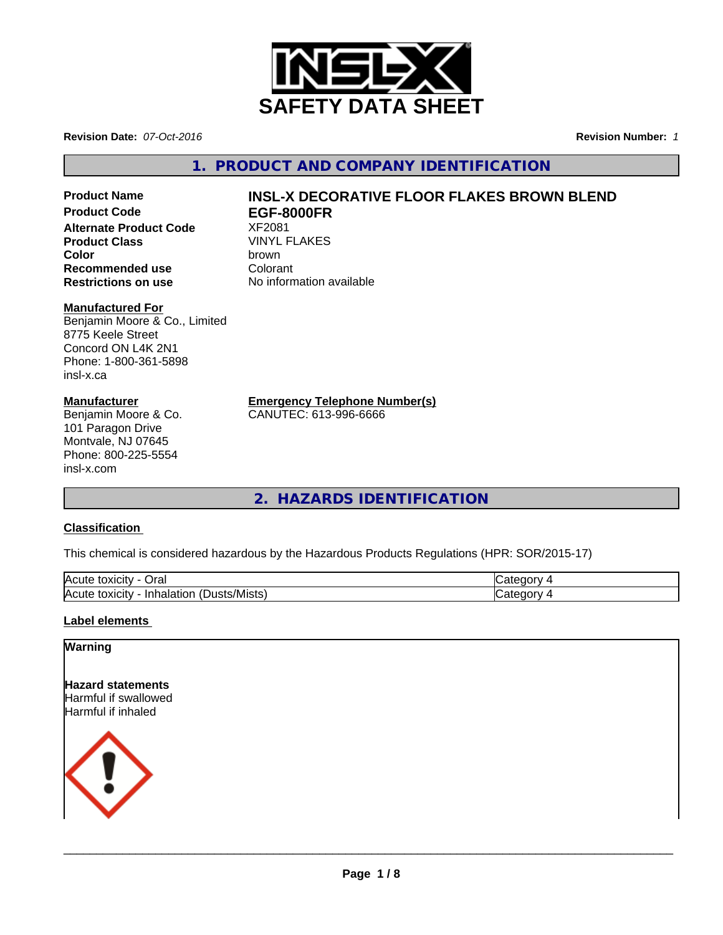

**Revision Date:** *07-Oct-2016* **Revision Number:** *1*

**1. PRODUCT AND COMPANY IDENTIFICATION**

**Alternate Product Code 8 XF2081**<br>**Product Class** WINYL FLAKES **Product Class** VINYL<br> **Color** brown **Color** brown **Recommended use Colorant**<br> **Restrictions on use Colorant** No information available **Restrictions on use** 

#### **Manufactured For**

Benjamin Moore & Co., Limited 8775 Keele Street Concord ON L4K 2N1 Phone: 1-800-361-5898 insl-x.ca

#### **Manufacturer**

Benjamin Moore & Co. 101 Paragon Drive Montvale, NJ 07645 Phone: 800-225-5554 insl-x.com

# **Product Name INSL-X DECORATIVE FLOOR FLAKES BROWN BLEND**<br>Product Code **FGF-8000FR Product Code EGF-8000FR**

**Emergency Telephone Number(s)**

CANUTEC: 613-996-6666

**2. HAZARDS IDENTIFICATION**

## **Classification**

This chemical is considered hazardous by the Hazardous Products Regulations (HPR: SOR/2015-17)

| <b>IAC</b><br>Oral<br><b>IOXICIT</b><br>ע ו                                      | - -      |
|----------------------------------------------------------------------------------|----------|
| $\blacksquare$<br>lAcı<br>∵/Mists<br>Inhalation<br>toxicity<br><b>ust</b><br>. . | ж<br>. . |

### **Label elements**

### **Warning**

**Hazard statements** Harmful if swallowed Harmful if inhaled



 $\overline{\phantom{a}}$  ,  $\overline{\phantom{a}}$  ,  $\overline{\phantom{a}}$  ,  $\overline{\phantom{a}}$  ,  $\overline{\phantom{a}}$  ,  $\overline{\phantom{a}}$  ,  $\overline{\phantom{a}}$  ,  $\overline{\phantom{a}}$  ,  $\overline{\phantom{a}}$  ,  $\overline{\phantom{a}}$  ,  $\overline{\phantom{a}}$  ,  $\overline{\phantom{a}}$  ,  $\overline{\phantom{a}}$  ,  $\overline{\phantom{a}}$  ,  $\overline{\phantom{a}}$  ,  $\overline{\phantom{a}}$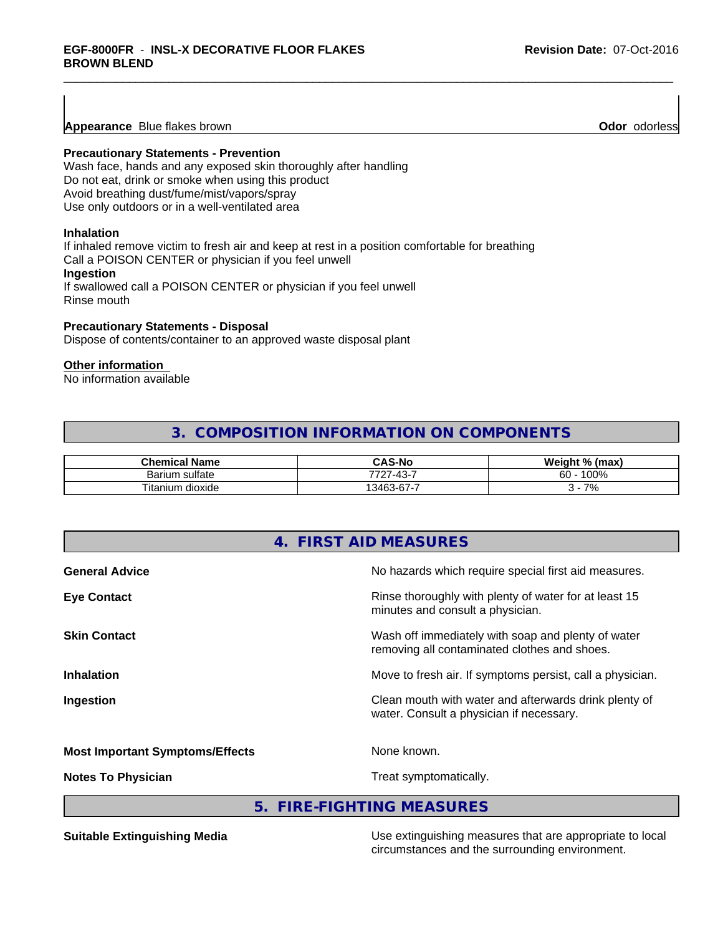**Appearance** Blue flakes brown **Odor** *Odor* **Odor** *Odor* odorless **Odor Odor Odor Odor Odor Odor Odor Odor Odor Odor Odor Odor Odor Odor Odor Odor Odor Odor Odor Odor Odor Odor**

#### **Precautionary Statements - Prevention**

Wash face, hands and any exposed skin thoroughly after handling Do not eat, drink or smoke when using this product Avoid breathing dust/fume/mist/vapors/spray Use only outdoors or in a well-ventilated area

#### **Inhalation**

If inhaled remove victim to fresh air and keep at rest in a position comfortable for breathing Call a POISON CENTER or physician if you feel unwell **Ingestion**

If swallowed call a POISON CENTER or physician if you feel unwell Rinse mouth

#### **Precautionary Statements - Disposal**

Dispose of contents/container to an approved waste disposal plant

#### **Other information**

No information available

# **3. COMPOSITION INFORMATION ON COMPONENTS**

| .<br>Chem<br>∘mical Name    | ົAS-No                                        | Weiaht<br>$\mathbf{0}$<br>% (max) |
|-----------------------------|-----------------------------------------------|-----------------------------------|
| sulfate<br><b>Barium</b>    | $\sqrt{2}$<br>-<br>7707<br>$\sim$<br>$-$<br>∸ | 0.001<br>$\sim$<br>איטטי<br>бΟ    |
| $- -$<br>dioxide<br>itanium | -<br>$\sim$<br>13463<br>n-n.<br>. .           | 70/<br>7٥                         |

| No hazards which require special first aid measures.                                               |
|----------------------------------------------------------------------------------------------------|
| Rinse thoroughly with plenty of water for at least 15<br>minutes and consult a physician.          |
| Wash off immediately with soap and plenty of water<br>removing all contaminated clothes and shoes. |
| Move to fresh air. If symptoms persist, call a physician.                                          |
| Clean mouth with water and afterwards drink plenty of<br>water. Consult a physician if necessary.  |
| None known.                                                                                        |
| Treat symptomatically.                                                                             |
|                                                                                                    |

**5. FIRE-FIGHTING MEASURES**

**Suitable Extinguishing Media** Media Use extinguishing measures that are appropriate to local circumstances and the surrounding environment.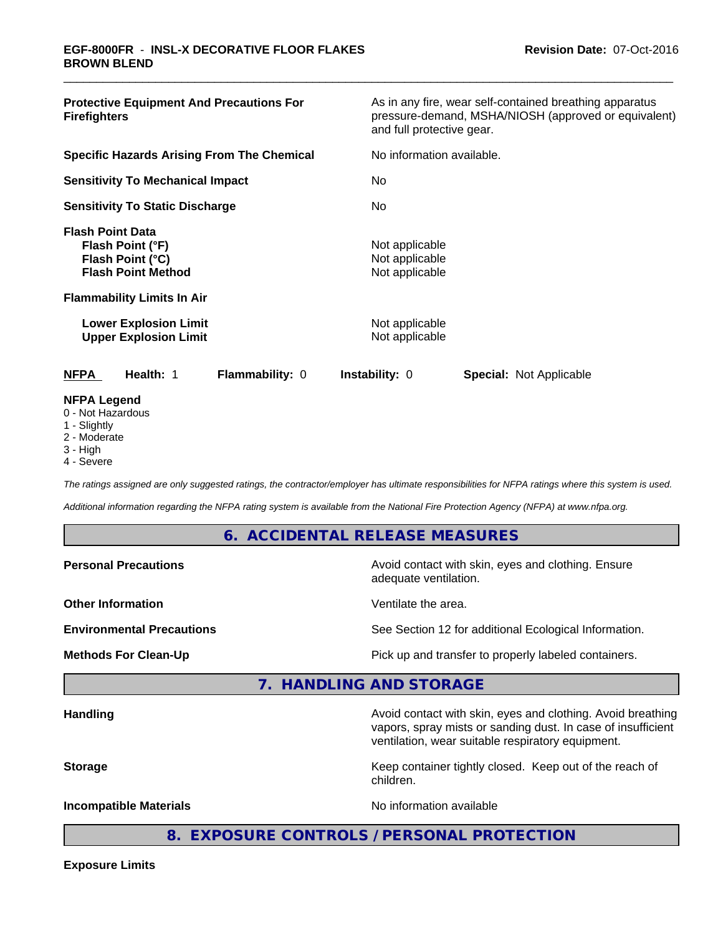| <b>Protective Equipment And Precautions For</b><br><b>Firefighters</b>                                                                                                                            | As in any fire, wear self-contained breathing apparatus<br>pressure-demand, MSHA/NIOSH (approved or equivalent)<br>and full protective gear. |  |  |
|---------------------------------------------------------------------------------------------------------------------------------------------------------------------------------------------------|----------------------------------------------------------------------------------------------------------------------------------------------|--|--|
| <b>Specific Hazards Arising From The Chemical</b>                                                                                                                                                 | No information available.                                                                                                                    |  |  |
| <b>Sensitivity To Mechanical Impact</b>                                                                                                                                                           | No                                                                                                                                           |  |  |
| <b>Sensitivity To Static Discharge</b>                                                                                                                                                            | No.                                                                                                                                          |  |  |
| <b>Flash Point Data</b><br>Flash Point (°F)<br>Flash Point (°C)<br><b>Flash Point Method</b><br><b>Flammability Limits In Air</b><br><b>Lower Explosion Limit</b><br><b>Upper Explosion Limit</b> | Not applicable<br>Not applicable<br>Not applicable<br>Not applicable<br>Not applicable                                                       |  |  |
| <b>NFPA</b><br>Health: 1<br>Flammability: 0                                                                                                                                                       | <b>Instability: 0</b><br><b>Special: Not Applicable</b>                                                                                      |  |  |
| <b>NFPA Legend</b><br>0 - Not Hazardous<br>1 - Slightly                                                                                                                                           |                                                                                                                                              |  |  |

- 2 Moderate
- 3 High
- 4 Severe

*The ratings assigned are only suggested ratings, the contractor/employer has ultimate responsibilities for NFPA ratings where this system is used.*

*Additional information regarding the NFPA rating system is available from the National Fire Protection Agency (NFPA) at www.nfpa.org.*

### **6. ACCIDENTAL RELEASE MEASURES**

| <b>Personal Precautions</b>      | Avoid contact with skin, eyes and clothing. Ensure<br>adequate ventilation.                                                 |
|----------------------------------|-----------------------------------------------------------------------------------------------------------------------------|
| <b>Other Information</b>         | Ventilate the area.                                                                                                         |
| <b>Environmental Precautions</b> | See Section 12 for additional Ecological Information.                                                                       |
| <b>Methods For Clean-Up</b>      | Pick up and transfer to properly labeled containers.                                                                        |
|                                  | 7. HANDLING AND STORAGE                                                                                                     |
| <b>Handling</b>                  | Avoid contact with skin, eyes and clothing. Avoid breathing<br>vapors, spray mists or sanding dust. In case of insufficient |

**Storage** Keep container tightly closed. Keep out of the reach of children.

ventilation, wear suitable respiratory equipment.

**Incompatible Materials Incompatible Materials No information available** 

**8. EXPOSURE CONTROLS / PERSONAL PROTECTION**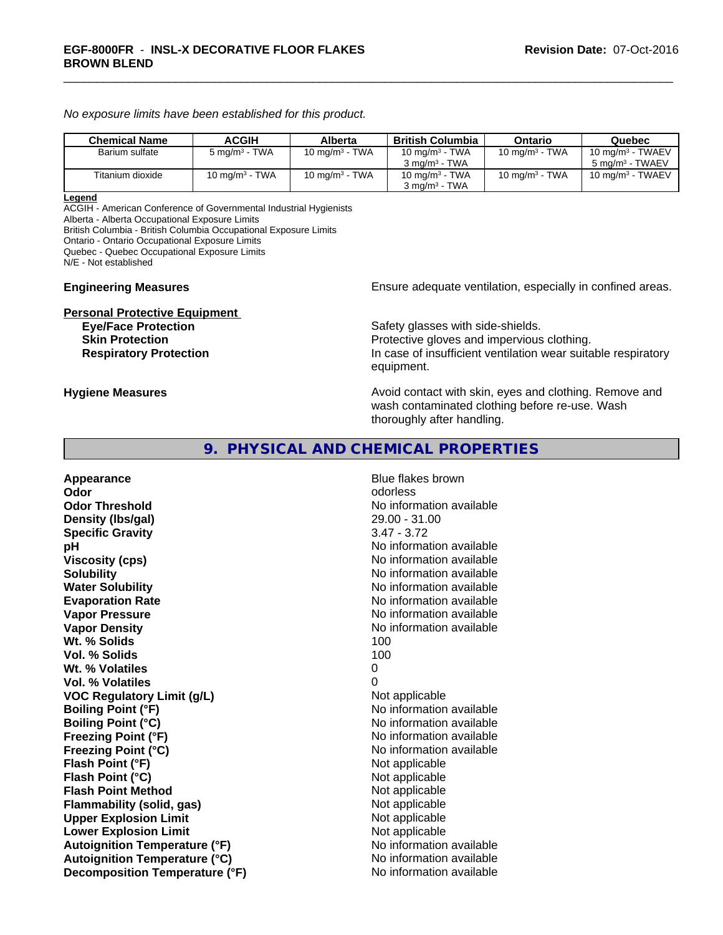*No exposure limits have been established for this product.*

| <b>Chemical Name</b> | <b>ACGIH</b>             | Alberta                    | British Columbia                                       | Ontario           | Quebec                                             |
|----------------------|--------------------------|----------------------------|--------------------------------------------------------|-------------------|----------------------------------------------------|
| Barium sulfate       | $5 \text{ mg/m}^3$ - TWA | 10 mg/m <sup>3</sup> - TWA | 10 mg/m <sup>3</sup> - TWA<br>$3 \text{ ma/m}^3$ - TWA | 10 mg/m $3$ - TWA | 10 mg/m $3$ - TWAEV<br>5 mg/m <sup>3</sup> - TWAEV |
| Titanium dioxide     | 10 mg/m $3$ - TWA        | 10 mg/m $3$ - TWA          | 10 mg/m $3$ - TWA<br>$3 \text{ ma/m}^3$ - TWA          | 10 mg/m $3$ - TWA | 10 mg/m $3$ - TWAEV                                |

#### **Legend**

ACGIH - American Conference of Governmental Industrial Hygienists Alberta - Alberta Occupational Exposure Limits

British Columbia - British Columbia Occupational Exposure Limits

Ontario - Ontario Occupational Exposure Limits

Quebec - Quebec Occupational Exposure Limits

N/E - Not established

# **Personal Protective Equipment**

**Engineering Measures Ensure adequate ventilation, especially in confined areas.** 

Safety glasses with side-shields. **Skin Protection Protection Protective gloves and impervious clothing. Respiratory Protection In case of insufficient ventilation wear suitable respiratory** equipment.

**Hygiene Measures Avoid contact with skin, eyes and clothing. Remove and Avoid contact with skin, eyes and clothing. Remove and Avoid contact with skin, eyes and clothing. Remove and** wash contaminated clothing before re-use. Wash thoroughly after handling.

# **9. PHYSICAL AND CHEMICAL PROPERTIES**

**Appearance Blue flakes brown Odor** odorless **Odor Threshold No information available No information available Density (lbs/gal)** 29.00 - 31.00 **Specific Gravity** 3.47 - 3.72 **pH pH**  $\blacksquare$ **Viscosity (cps)** No information available **Solubility No information available No information available Water Solubility No information available No information available Evaporation Rate No information available No information available Vapor Pressure** No information available **Vapor Density No information available No information available Wt. % Solids** 100 **Vol. % Solids** 100 Wt. % Volatiles 0 **Vol. % Volatiles** 0 **VOC Regulatory Limit (g/L)** Not applicable **Boiling Point (°F)** No information available **Boiling Point (°C)** No information available **Freezing Point (°F)** No information available **Freezing Point (°C)** The state of the Mondo No information available **Flash Point (°F)** Not applicable **Flash Point (°C)** Not applicable **Flash Point Method** Not applicable **Flammability (solid, gas)** Not applicable **Upper Explosion Limit** Not applicable **Lower Explosion Limit Contract Accord Accord Accord Accord Accord Accord Accord Accord Accord Accord Accord Accord Accord Accord Accord Accord Accord Accord Accord Accord Accord Accord Accord Accord Accord Accord Accord Autoignition Temperature (°F)** No information available **Autoignition Temperature (°C)** No information available **Decomposition Temperature (°F)** No information available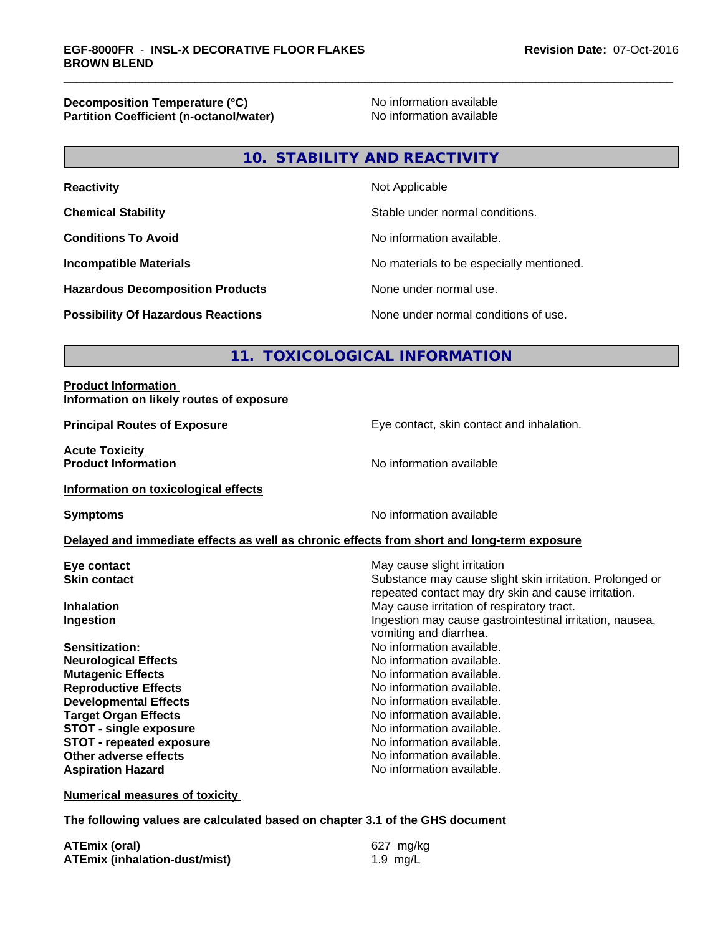**Decomposition Temperature (°C)**<br> **Partition Coefficient (n-octanol/water)** No information available **Partition Coefficient (n-octanol/water)** 

# **10. STABILITY AND REACTIVITY**

| <b>Reactivity</b>                         | Not Applicable                           |
|-------------------------------------------|------------------------------------------|
| <b>Chemical Stability</b>                 | Stable under normal conditions.          |
| <b>Conditions To Avoid</b>                | No information available.                |
| <b>Incompatible Materials</b>             | No materials to be especially mentioned. |
| <b>Hazardous Decomposition Products</b>   | None under normal use.                   |
| <b>Possibility Of Hazardous Reactions</b> | None under normal conditions of use.     |

# **11. TOXICOLOGICAL INFORMATION**

#### **Product Information Information on likely routes of exposure**

**Acute Toxicity Product Information** 

**Principal Routes of Exposure Exposure** Eye contact, skin contact and inhalation.

**Information on toxicological effects**

**Symptoms** No information available

#### **Delayed and immediate effects as well as chronic effects from short and long-term exposure**

**Eye contact Execution Skin contact** May cause slight irritation<br> **Skin contact** Contact Contact Contact Contact Contact Contact Contact Contact Contact Contact Contact Contact Conta

**Neurological Effects** Noinformation available. **Mutagenic Effects Mutagenic Effects No information available. Reproductive Effects No information available. Developmental Effects No information available.**<br> **Paraet Organ Effects No information available. Target Organ Effects**<br> **STOT - single exposure**<br>
STOT - single exposure<br>
No information available. **STOT** - single exposure **STOT** - **repeated exposure** *CON* **Aspiration Hazard** 

Substance may cause slight skin irritation. Prolonged or repeated contact may dry skin and cause irritation. **Inhalation** May cause irritation of respiratory tract. **Ingestion Ingestion Ingestion may cause gastrointestinal irritation, nausea,** 

vomiting and diarrhea. **Sensitization:** No information available.

**Other adverse effects**<br> **Aspiration Hazard**<br> **Aspiration Hazard**<br> **Aspiration Hazard**<br> **No information available** 

**Numerical measures of toxicity**

**The following values are calculated based on chapter 3.1 of the GHS document**

| <b>ATEmix (oral)</b>                 | 627 mg/kg  |
|--------------------------------------|------------|
| <b>ATEmix (inhalation-dust/mist)</b> | 1.9 $mg/L$ |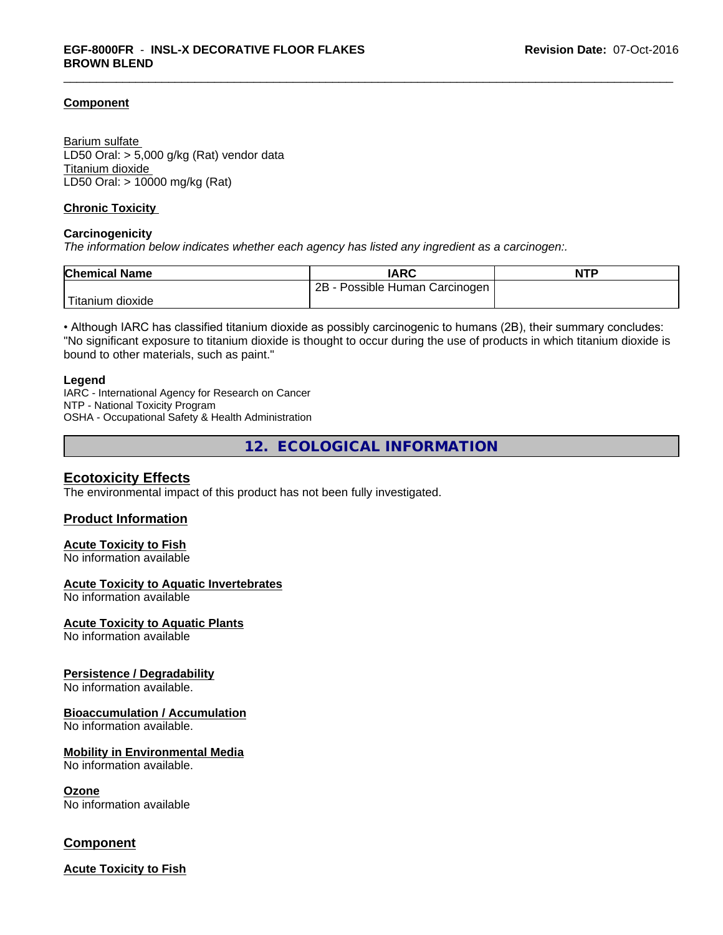#### **Component**

Barium sulfate LD50 Oral: > 5,000 g/kg (Rat) vendor data Titanium dioxide LD50 Oral: > 10000 mg/kg (Rat)

#### **Chronic Toxicity**

#### **Carcinogenicity**

*The information below indicateswhether each agency has listed any ingredient as a carcinogen:.*

| <b>Chemical Name</b> | <b>IARC</b>                     | <b>NTP</b> |
|----------------------|---------------------------------|------------|
|                      | 2Β<br>Possible Human Carcinogen |            |
| dioxide<br>Fitanium  |                                 |            |

• Although IARC has classified titanium dioxide as possibly carcinogenic to humans (2B), their summary concludes: "No significant exposure to titanium dioxide is thought to occur during the use of products in which titanium dioxide is bound to other materials, such as paint."

#### **Legend**

IARC - International Agency for Research on Cancer NTP - National Toxicity Program OSHA - Occupational Safety & Health Administration

**12. ECOLOGICAL INFORMATION**

### **Ecotoxicity Effects**

The environmental impact of this product has not been fully investigated.

#### **Product Information**

#### **Acute Toxicity to Fish**

No information available

#### **Acute Toxicity to Aquatic Invertebrates**

No information available

#### **Acute Toxicity to Aquatic Plants**

No information available

#### **Persistence / Degradability**

No information available.

#### **Bioaccumulation / Accumulation**

No information available.

#### **Mobility in Environmental Media**

No information available.

#### **Ozone**

No information available

### **Component**

**Acute Toxicity to Fish**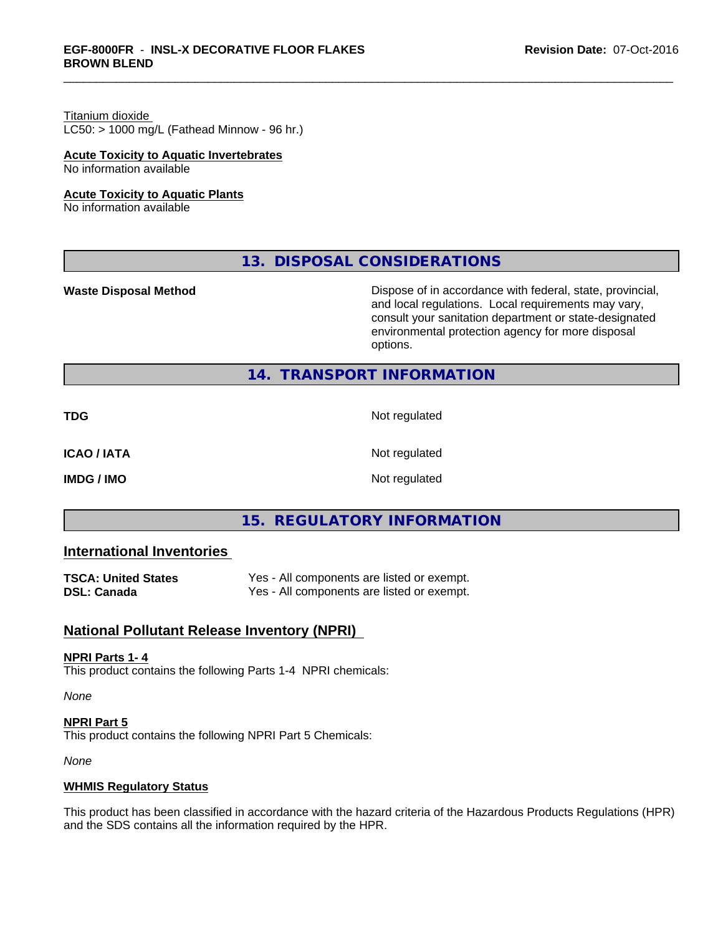# Titanium dioxide

 $LC50:$  > 1000 mg/L (Fathead Minnow - 96 hr.)

#### **Acute Toxicity to Aquatic Invertebrates**

No information available

#### **Acute Toxicity to Aquatic Plants**

No information available

# **13. DISPOSAL CONSIDERATIONS**

**Waste Disposal Method Dispose of in accordance with federal, state, provincial,** and local regulations. Local requirements may vary, consult your sanitation department or state-designated environmental protection agency for more disposal options.

# **14. TRANSPORT INFORMATION**

**TDG** Not regulated

**ICAO / IATA** Not regulated

**IMDG / IMO** Not regulated

# **15. REGULATORY INFORMATION**

# **International Inventories**

| <b>TSCA: United States</b> | Yes - All components are listed or exempt. |
|----------------------------|--------------------------------------------|
| <b>DSL: Canada</b>         | Yes - All components are listed or exempt. |

# **National Pollutant Release Inventory (NPRI)**

#### **NPRI Parts 1- 4**

This product contains the following Parts 1-4 NPRI chemicals:

*None*

**NPRI Part 5** This product contains the following NPRI Part 5 Chemicals:

*None*

#### **WHMIS Regulatory Status**

This product has been classified in accordance with the hazard criteria of the Hazardous Products Regulations (HPR) and the SDS contains all the information required by the HPR.